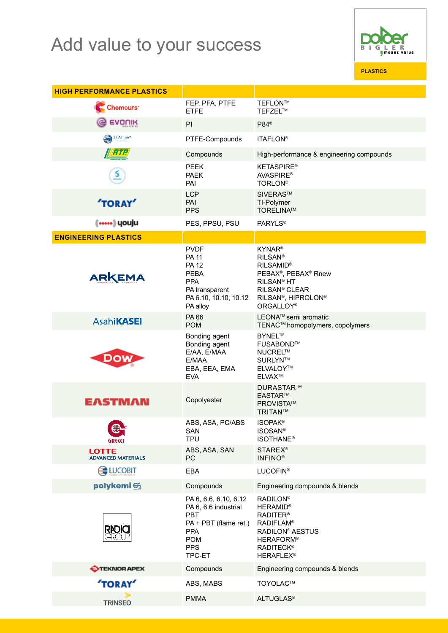## Add value to your success



**PLASTICS**

| <b>HIGH PERFORMANCE PLASTICS</b>          |                                                                                                                                   |                                                                                                                                                                                                                                    |
|-------------------------------------------|-----------------------------------------------------------------------------------------------------------------------------------|------------------------------------------------------------------------------------------------------------------------------------------------------------------------------------------------------------------------------------|
| <b>Chemours</b>                           | FEP, PFA, PTFE<br><b>ETFE</b>                                                                                                     | TEFLON™<br>TEFZEL™                                                                                                                                                                                                                 |
| EVONIK                                    | PI                                                                                                                                | P84 <sup>®</sup>                                                                                                                                                                                                                   |
| <b>TAFlon®</b>                            | PTFE-Compounds                                                                                                                    | <b>ITAFLON®</b>                                                                                                                                                                                                                    |
| <b>WRTR</b>                               | Compounds                                                                                                                         | High-performance & engineering compounds                                                                                                                                                                                           |
| <u>ક</u>                                  | <b>PEEK</b><br><b>PAEK</b><br>PAI                                                                                                 | <b>KETASPIRE®</b><br><b>AVASPIRE®</b><br><b>TORLON®</b>                                                                                                                                                                            |
| <b>TORAY</b>                              | <b>LCP</b><br>PAI<br><b>PPS</b>                                                                                                   | SIVERAS™<br>TI-Polymer<br><b>TORELINA™</b>                                                                                                                                                                                         |
| (……) youju                                | PES, PPSU, PSU                                                                                                                    | <b>PARYLS®</b>                                                                                                                                                                                                                     |
| <b>ENGINEERING PLASTICS</b>               |                                                                                                                                   |                                                                                                                                                                                                                                    |
| ARKEMA                                    | <b>PVDF</b><br><b>PA 11</b><br><b>PA 12</b><br><b>PEBA</b><br><b>PPA</b><br>PA transparent<br>PA 6.10, 10.10, 10.12<br>PA alloy   | <b>KYNAR®</b><br><b>RILSAN®</b><br><b>RILSAMID®</b><br>PEBAX <sup>®</sup> , PEBAX <sup>®</sup> Rnew<br>RILSAN <sup>®</sup> HT<br>RILSAN <sup>®</sup> CLEAR<br>RILSAN <sup>®</sup> , HIPROLON <sup>®</sup><br>ORGALLOY <sup>®</sup> |
| <b>AsahiKASEI</b>                         | PA 66<br><b>POM</b>                                                                                                               | LEONA <sup>™</sup> semi aromatic<br>TENAC™ homopolymers, copolymers                                                                                                                                                                |
|                                           | Bonding agent<br>Bonding agent<br>E/AA, E/MAA<br>E/MAA<br>EBA, EEA, EMA<br><b>EVA</b>                                             | <b>BYNEL™</b><br>FUSABOND™<br>NUCREL™<br>SURLYN™<br><b>ELVALOY™</b><br><b>ELVAX™</b>                                                                                                                                               |
| <b>EASTMAN</b>                            | Copolyester                                                                                                                       | DURASTAR™<br><b>EASTAR™</b><br>PROVISTA™<br>TRITAN™                                                                                                                                                                                |
| ⋐<br>GRCO                                 | ABS, ASA, PC/ABS<br>SAN<br><b>TPU</b>                                                                                             | <b>ISOPAK®</b><br><b>ISOSAN®</b><br><b>ISOTHANE®</b>                                                                                                                                                                               |
| <b>LOTTE</b><br><b>ADVANCED MATERIALS</b> | ABS, ASA, SAN<br><b>PC</b>                                                                                                        | <b>STAREX®</b><br><b>INFINO®</b>                                                                                                                                                                                                   |
| <b>C</b> UCOBIT                           | EBA                                                                                                                               | <b>LUCOFIN®</b>                                                                                                                                                                                                                    |
| polykemi                                  | Compounds                                                                                                                         | Engineering compounds & blends                                                                                                                                                                                                     |
| <b>RADICI</b>                             | PA 6, 6.6, 6.10, 6.12<br>PA 6, 6.6 industrial<br>PBT<br>PA + PBT (flame ret.)<br><b>PPA</b><br><b>POM</b><br><b>PPS</b><br>TPC-ET | <b>RADILON®</b><br><b>HERAMID®</b><br><b>RADITER®</b><br><b>RADIFLAM®</b><br>RADILON <sup>®</sup> AESTUS<br><b>HERAFORM®</b><br><b>RADITECK®</b><br><b>HERAFLEX®</b>                                                               |
| <b>O</b> TEKNOR APEX                      | Compounds                                                                                                                         | Engineering compounds & blends                                                                                                                                                                                                     |
| <b>TORAY</b>                              | ABS, MABS                                                                                                                         | TOYOLAC™                                                                                                                                                                                                                           |
| <b>TRINSEO</b>                            | <b>PMMA</b>                                                                                                                       | <b>ALTUGLAS®</b>                                                                                                                                                                                                                   |